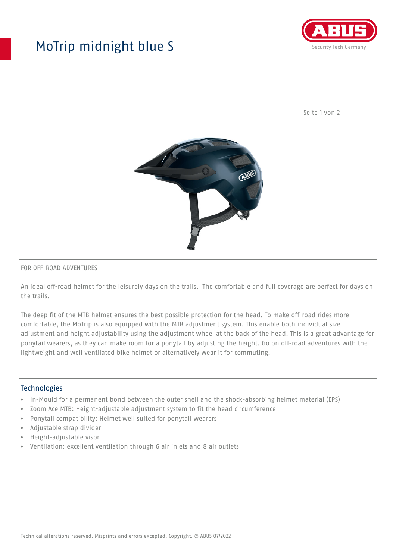## MoTrip midnight blue S



Seite 1 von 2



#### FOR OFF-ROAD ADVENTURES

An ideal off-road helmet for the leisurely days on the trails. The comfortable and full coverage are perfect for days on the trails.

The deep fit of the MTB helmet ensures the best possible protection for the head. To make off-road rides more comfortable, the MoTrip is also equipped with the MTB adjustment system. This enable both individual size adjustment and height adjustability using the adjustment wheel at the back of the head. This is a great advantage for ponytail wearers, as they can make room for a ponytail by adjusting the height. Go on off-road adventures with the lightweight and well ventilated bike helmet or alternatively wear it for commuting.

### Technologies

- In-Mould for a permanent bond between the outer shell and the shock-absorbing helmet material (EPS)
- Zoom Ace MTB: Height-adjustable adjustment system to fit the head circumference
- Ponytail compatibility: Helmet well suited for ponytail wearers
- Adjustable strap divider
- Height-adjustable visor
- Ventilation: excellent ventilation through 6 air inlets and 8 air outlets